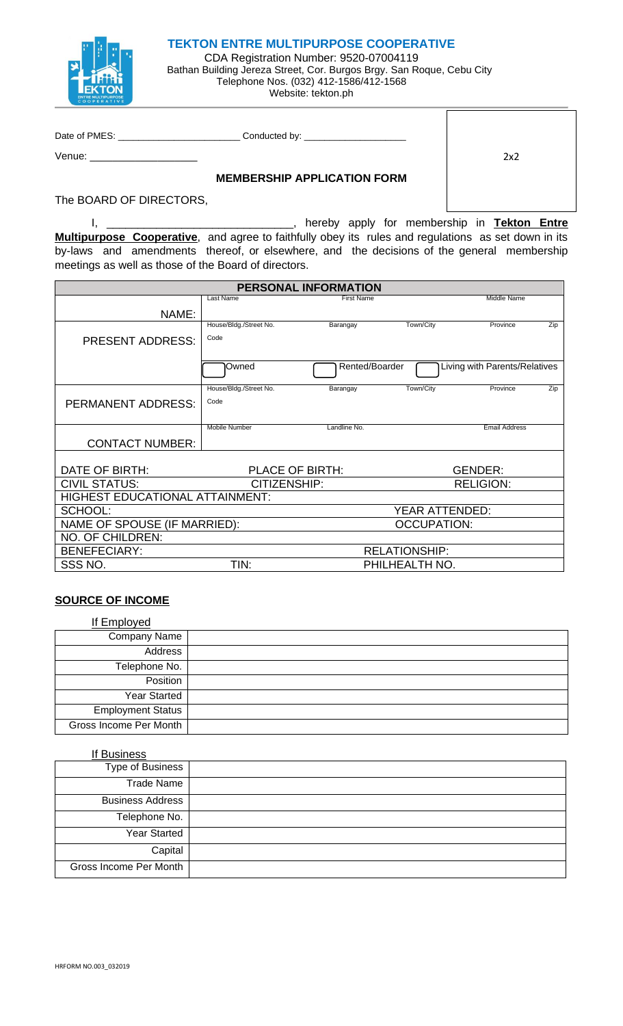

## **TEKTON ENTRE MULTIPURPOSE COOPERATIVE**

CDA Registration Number: 9520-07004119 Bathan Building Jereza Street, Cor. Burgos Brgy. San Roque, Cebu City Telephone Nos. (032) 412-1586/412-1568 Website: tekton.ph

 $\overline{\Gamma}$ 

| Date of PMES: | Conducted by:                      |     |
|---------------|------------------------------------|-----|
| Venue:        |                                    | 2x2 |
|               | <b>MEMBERSHIP APPLICATION FORM</b> |     |

The BOARD OF DIRECTORS,

I, \_\_\_\_\_\_\_\_\_\_\_\_\_\_\_\_\_\_\_\_\_\_\_\_\_\_\_\_\_\_, hereby apply for membership in **Tekton Entre Multipurpose Cooperative**, and agree to faithfully obey its rules and regulations as set down in its by-laws and amendments thereof, or elsewhere, and the decisions of the general membership meetings as well as those of the Board of directors.

| PERSONAL INFORMATION                   |                        |                   |                      |                               |     |  |
|----------------------------------------|------------------------|-------------------|----------------------|-------------------------------|-----|--|
|                                        | Last Name              | <b>First Name</b> |                      | Middle Name                   |     |  |
| NAME:                                  |                        |                   |                      |                               |     |  |
|                                        | House/Bldg./Street No. | Barangay          | Town/City            | Province                      | Zip |  |
| <b>PRESENT ADDRESS:</b>                | Code                   |                   |                      |                               |     |  |
|                                        |                        |                   |                      |                               |     |  |
|                                        | <b>I</b> Owned         | Rented/Boarder    |                      | Living with Parents/Relatives |     |  |
|                                        | House/Bldg./Street No. | Barangay          | Town/City            | Province                      | Zip |  |
| <b>PERMANENT ADDRESS:</b>              | Code                   |                   |                      |                               |     |  |
|                                        |                        |                   |                      |                               |     |  |
|                                        | <b>Mobile Number</b>   | Landline No.      |                      | <b>Email Address</b>          |     |  |
| <b>CONTACT NUMBER:</b>                 |                        |                   |                      |                               |     |  |
|                                        |                        |                   |                      |                               |     |  |
| DATE OF BIRTH:                         | PLACE OF BIRTH:        |                   |                      | <b>GENDER:</b>                |     |  |
| <b>CIVIL STATUS:</b>                   | CITIZENSHIP:           |                   |                      | <b>RELIGION:</b>              |     |  |
| <b>HIGHEST EDUCATIONAL ATTAINMENT:</b> |                        |                   |                      |                               |     |  |
| SCHOOL:                                |                        |                   | YEAR ATTENDED:       |                               |     |  |
| NAME OF SPOUSE (IF MARRIED):           |                        |                   | <b>OCCUPATION:</b>   |                               |     |  |
| NO. OF CHILDREN:                       |                        |                   |                      |                               |     |  |
| <b>BENEFECIARY:</b>                    |                        |                   | <b>RELATIONSHIP:</b> |                               |     |  |
| SSS NO.                                | TIN:                   |                   | PHILHEALTH NO.       |                               |     |  |

## **SOURCE OF INCOME**

| If Employed              |  |
|--------------------------|--|
| Company Name             |  |
| Address                  |  |
| Telephone No.            |  |
| Position                 |  |
| <b>Year Started</b>      |  |
| <b>Employment Status</b> |  |
| Gross Income Per Month   |  |

*If Business Type of Business Trade Name Business Address Telephone No. Year Started Capital Gross Income Per Month*